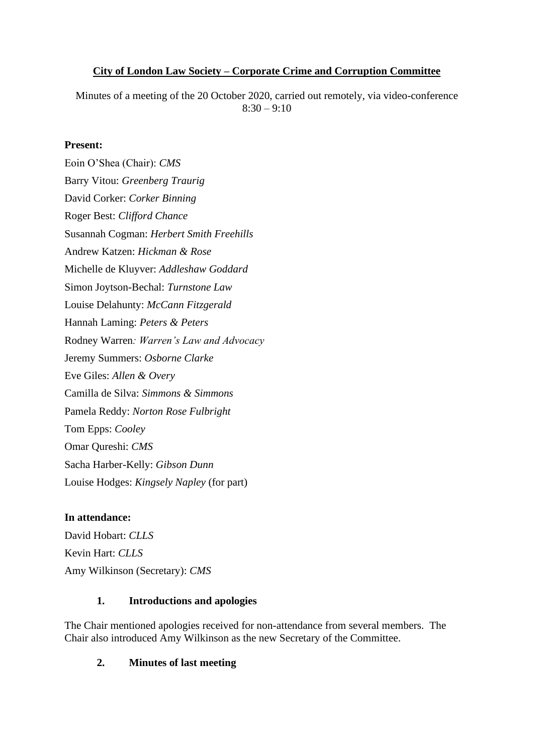### **City of London Law Society – Corporate Crime and Corruption Committee**

Minutes of a meeting of the 20 October 2020, carried out remotely, via video-conference  $8:30 - 9:10$ 

#### **Present:**

Eoin O'Shea (Chair): *CMS* Barry Vitou: *Greenberg Traurig* David Corker: *Corker Binning* Roger Best: *Clifford Chance* Susannah Cogman: *Herbert Smith Freehills* Andrew Katzen: *Hickman & Rose* Michelle de Kluyver: *Addleshaw Goddard* Simon Joytson-Bechal: *Turnstone Law* Louise Delahunty: *McCann Fitzgerald* Hannah Laming: *Peters & Peters* Rodney Warren*: Warren's Law and Advocacy* Jeremy Summers: *Osborne Clarke* Eve Giles: *Allen & Overy* Camilla de Silva: *Simmons & Simmons* Pamela Reddy: *Norton Rose Fulbright* Tom Epps: *Cooley* Omar Qureshi: *CMS* Sacha Harber-Kelly: *Gibson Dunn* Louise Hodges: *Kingsely Napley* (for part)

### **In attendance:**

David Hobart: *CLLS* Kevin Hart: *CLLS* Amy Wilkinson (Secretary): *CMS*

### **1. Introductions and apologies**

The Chair mentioned apologies received for non-attendance from several members. The Chair also introduced Amy Wilkinson as the new Secretary of the Committee.

### **2. Minutes of last meeting**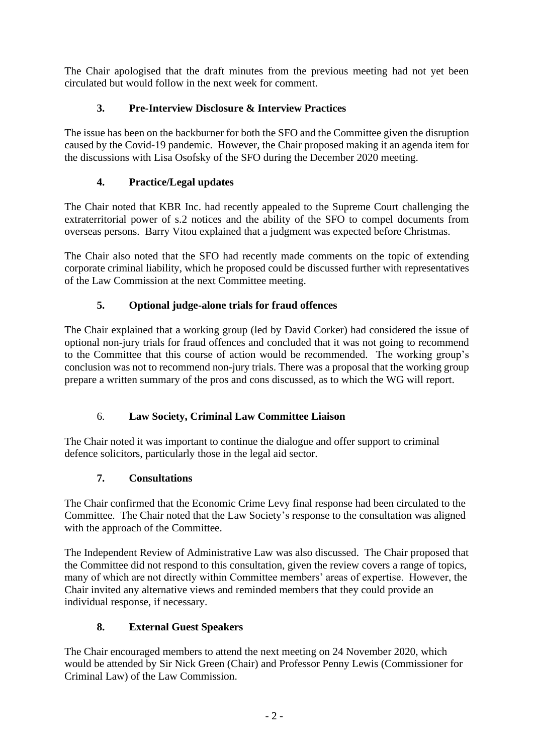The Chair apologised that the draft minutes from the previous meeting had not yet been circulated but would follow in the next week for comment.

# **3. Pre-Interview Disclosure & Interview Practices**

The issue has been on the backburner for both the SFO and the Committee given the disruption caused by the Covid-19 pandemic. However, the Chair proposed making it an agenda item for the discussions with Lisa Osofsky of the SFO during the December 2020 meeting.

# **4. Practice/Legal updates**

The Chair noted that KBR Inc. had recently appealed to the Supreme Court challenging the extraterritorial power of s.2 notices and the ability of the SFO to compel documents from overseas persons. Barry Vitou explained that a judgment was expected before Christmas.

The Chair also noted that the SFO had recently made comments on the topic of extending corporate criminal liability, which he proposed could be discussed further with representatives of the Law Commission at the next Committee meeting.

# **5. Optional judge-alone trials for fraud offences**

The Chair explained that a working group (led by David Corker) had considered the issue of optional non-jury trials for fraud offences and concluded that it was not going to recommend to the Committee that this course of action would be recommended. The working group's conclusion was not to recommend non-jury trials. There was a proposal that the working group prepare a written summary of the pros and cons discussed, as to which the WG will report.

## 6. **Law Society, Criminal Law Committee Liaison**

The Chair noted it was important to continue the dialogue and offer support to criminal defence solicitors, particularly those in the legal aid sector.

## **7. Consultations**

The Chair confirmed that the Economic Crime Levy final response had been circulated to the Committee. The Chair noted that the Law Society's response to the consultation was aligned with the approach of the Committee.

The Independent Review of Administrative Law was also discussed. The Chair proposed that the Committee did not respond to this consultation, given the review covers a range of topics, many of which are not directly within Committee members' areas of expertise. However, the Chair invited any alternative views and reminded members that they could provide an individual response, if necessary.

## **8. External Guest Speakers**

The Chair encouraged members to attend the next meeting on 24 November 2020, which would be attended by Sir Nick Green (Chair) and Professor Penny Lewis (Commissioner for Criminal Law) of the Law Commission.